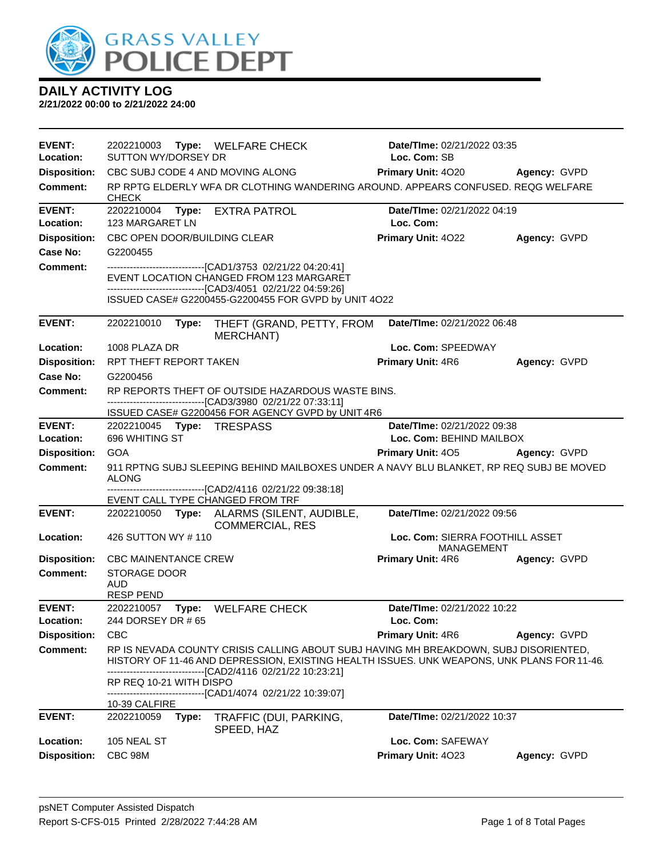

| <b>EVENT:</b><br>Location: | 2202210003<br>Type: WELFARE CHECK<br><b>SUTTON WY/DORSEY DR</b>                                                                                                                                                                                    | <b>Date/TIme: 02/21/2022 03:35</b><br>Loc. Com: SB |                     |  |  |  |
|----------------------------|----------------------------------------------------------------------------------------------------------------------------------------------------------------------------------------------------------------------------------------------------|----------------------------------------------------|---------------------|--|--|--|
| <b>Disposition:</b>        | CBC SUBJ CODE 4 AND MOVING ALONG                                                                                                                                                                                                                   | <b>Primary Unit: 4020</b>                          | Agency: GVPD        |  |  |  |
| <b>Comment:</b>            | RP RPTG ELDERLY WFA DR CLOTHING WANDERING AROUND. APPEARS CONFUSED. REQG WELFARE<br><b>CHECK</b>                                                                                                                                                   |                                                    |                     |  |  |  |
| <b>EVENT:</b><br>Location: | <b>EXTRA PATROL</b><br>2202210004<br>Type:<br>123 MARGARET LN                                                                                                                                                                                      | Date/TIme: 02/21/2022 04:19<br>Loc. Com:           |                     |  |  |  |
| <b>Disposition:</b>        | CBC OPEN DOOR/BUILDING CLEAR                                                                                                                                                                                                                       | Primary Unit: 4022                                 | Agency: GVPD        |  |  |  |
| <b>Case No:</b>            | G2200455                                                                                                                                                                                                                                           |                                                    |                     |  |  |  |
| Comment:                   | -------------------------------[CAD1/3753 02/21/22 04:20:41]<br>EVENT LOCATION CHANGED FROM 123 MARGARET<br>-------------------------------[CAD3/4051 02/21/22 04:59:26]                                                                           |                                                    |                     |  |  |  |
|                            | ISSUED CASE# G2200455-G2200455 FOR GVPD by UNIT 4O22                                                                                                                                                                                               |                                                    |                     |  |  |  |
| <b>EVENT:</b>              | 2202210010<br>Type:<br>THEFT (GRAND, PETTY, FROM<br><b>MERCHANT</b> )                                                                                                                                                                              | Date/TIme: 02/21/2022 06:48                        |                     |  |  |  |
| Location:                  | 1008 PLAZA DR                                                                                                                                                                                                                                      | Loc. Com: SPEEDWAY                                 |                     |  |  |  |
| <b>Disposition:</b>        | <b>RPT THEFT REPORT TAKEN</b>                                                                                                                                                                                                                      | <b>Primary Unit: 4R6</b>                           | Agency: GVPD        |  |  |  |
| <b>Case No:</b>            | G2200456                                                                                                                                                                                                                                           |                                                    |                     |  |  |  |
| <b>Comment:</b>            | RP REPORTS THEFT OF OUTSIDE HAZARDOUS WASTE BINS.                                                                                                                                                                                                  |                                                    |                     |  |  |  |
|                            | -------------------------------[CAD3/3980 02/21/22 07:33:11]<br>ISSUED CASE# G2200456 FOR AGENCY GVPD by UNIT 4R6                                                                                                                                  |                                                    |                     |  |  |  |
| <b>EVENT:</b>              | 2202210045 Type: TRESPASS                                                                                                                                                                                                                          | Date/TIme: 02/21/2022 09:38                        |                     |  |  |  |
| Location:                  | 696 WHITING ST                                                                                                                                                                                                                                     | Loc. Com: BEHIND MAILBOX                           |                     |  |  |  |
| <b>Disposition:</b>        | <b>GOA</b>                                                                                                                                                                                                                                         | <b>Primary Unit: 405</b>                           | <b>Agency: GVPD</b> |  |  |  |
| <b>Comment:</b>            | 911 RPTNG SUBJ SLEEPING BEHIND MAILBOXES UNDER A NAVY BLU BLANKET, RP REQ SUBJ BE MOVED<br><b>ALONG</b>                                                                                                                                            |                                                    |                     |  |  |  |
|                            | -------------------------------[CAD2/4116 02/21/22 09:38:18]<br>EVENT CALL TYPE CHANGED FROM TRF                                                                                                                                                   |                                                    |                     |  |  |  |
| <b>EVENT:</b>              | 2202210050 Type: ALARMS (SILENT, AUDIBLE,<br><b>COMMERCIAL, RES</b>                                                                                                                                                                                | Date/TIme: 02/21/2022 09:56                        |                     |  |  |  |
| Location:                  | 426 SUTTON WY #110                                                                                                                                                                                                                                 | Loc. Com: SIERRA FOOTHILL ASSET<br>MANAGEMENT      |                     |  |  |  |
| <b>Disposition:</b>        | <b>CBC MAINENTANCE CREW</b>                                                                                                                                                                                                                        | <b>Primary Unit: 4R6</b>                           | Agency: GVPD        |  |  |  |
| <b>Comment:</b>            | <b>STORAGE DOOR</b><br><b>AUD</b><br><b>RESP PEND</b>                                                                                                                                                                                              |                                                    |                     |  |  |  |
| <b>EVENT:</b>              | Type: WELFARE CHECK<br>2202210057                                                                                                                                                                                                                  | Date/TIme: 02/21/2022 10:22                        |                     |  |  |  |
| Location:                  | 244 DORSEY DR # 65                                                                                                                                                                                                                                 | Loc. Com:                                          |                     |  |  |  |
| <b>Disposition:</b>        | <b>CBC</b>                                                                                                                                                                                                                                         | <b>Primary Unit: 4R6</b>                           | Agency: GVPD        |  |  |  |
| <b>Comment:</b>            | RP IS NEVADA COUNTY CRISIS CALLING ABOUT SUBJ HAVING MH BREAKDOWN, SUBJ DISORIENTED,<br>HISTORY OF 11-46 AND DEPRESSION, EXISTING HEALTH ISSUES. UNK WEAPONS, UNK PLANS FOR 11-46.<br>-------------------------------[CAD2/4116 02/21/22 10:23:21] |                                                    |                     |  |  |  |
|                            | RP REQ 10-21 WITH DISPO<br>------------------------[CAD1/4074_02/21/22 10:39:07]                                                                                                                                                                   |                                                    |                     |  |  |  |
| <b>EVENT:</b>              | 10-39 CALFIRE<br>2202210059<br>Type:                                                                                                                                                                                                               | Date/TIme: 02/21/2022 10:37                        |                     |  |  |  |
|                            | TRAFFIC (DUI, PARKING,<br>SPEED, HAZ                                                                                                                                                                                                               |                                                    |                     |  |  |  |
| Location:                  | 105 NEAL ST                                                                                                                                                                                                                                        | Loc. Com: SAFEWAY                                  |                     |  |  |  |
| <b>Disposition:</b>        | CBC 98M                                                                                                                                                                                                                                            | Primary Unit: 4023                                 | Agency: GVPD        |  |  |  |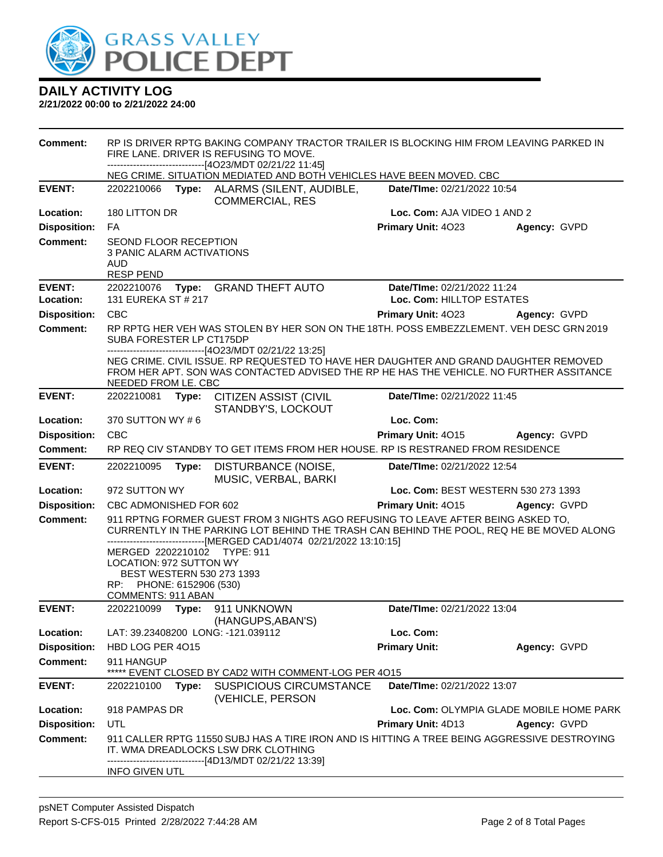

| <b>Comment:</b>     | RP IS DRIVER RPTG BAKING COMPANY TRACTOR TRAILER IS BLOCKING HIM FROM LEAVING PARKED IN<br>FIRE LANE. DRIVER IS REFUSING TO MOVE.<br>----------------------------[4O23/MDT 02/21/22 11:45] |       |                                                                                         |                                                                                                                                                                                 |                                          |
|---------------------|--------------------------------------------------------------------------------------------------------------------------------------------------------------------------------------------|-------|-----------------------------------------------------------------------------------------|---------------------------------------------------------------------------------------------------------------------------------------------------------------------------------|------------------------------------------|
|                     |                                                                                                                                                                                            |       |                                                                                         | NEG CRIME. SITUATION MEDIATED AND BOTH VEHICLES HAVE BEEN MOVED. CBC                                                                                                            |                                          |
| <b>EVENT:</b>       | 2202210066                                                                                                                                                                                 | Type: | ALARMS (SILENT, AUDIBLE,<br><b>COMMERCIAL, RES</b>                                      | Date/TIme: 02/21/2022 10:54                                                                                                                                                     |                                          |
| Location:           | 180 LITTON DR                                                                                                                                                                              |       |                                                                                         | Loc. Com: AJA VIDEO 1 AND 2                                                                                                                                                     |                                          |
| <b>Disposition:</b> | FA                                                                                                                                                                                         |       |                                                                                         | Primary Unit: 4023                                                                                                                                                              | Agency: GVPD                             |
| <b>Comment:</b>     | <b>SEOND FLOOR RECEPTION</b><br>3 PANIC ALARM ACTIVATIONS<br>AUD<br><b>RESP PEND</b>                                                                                                       |       |                                                                                         |                                                                                                                                                                                 |                                          |
| <b>EVENT:</b>       | 2202210076                                                                                                                                                                                 |       | Type: GRAND THEFT AUTO                                                                  | Date/TIme: 02/21/2022 11:24                                                                                                                                                     |                                          |
| Location:           | 131 EUREKA ST # 217                                                                                                                                                                        |       |                                                                                         | Loc. Com: HILLTOP ESTATES                                                                                                                                                       |                                          |
| <b>Disposition:</b> | <b>CBC</b>                                                                                                                                                                                 |       |                                                                                         | Primary Unit: 4023                                                                                                                                                              | Agency: GVPD                             |
| <b>Comment:</b>     | SUBA FORESTER LP CT175DP                                                                                                                                                                   |       | -------------------------------[4O23/MDT 02/21/22 13:25]                                | RP RPTG HER VEH WAS STOLEN BY HER SON ON THE 18TH. POSS EMBEZZLEMENT. VEH DESC GRN 2019                                                                                         |                                          |
|                     | NEEDED FROM LE. CBC                                                                                                                                                                        |       |                                                                                         | NEG CRIME. CIVIL ISSUE. RP REQUESTED TO HAVE HER DAUGHTER AND GRAND DAUGHTER REMOVED<br>FROM HER APT. SON WAS CONTACTED ADVISED THE RP HE HAS THE VEHICLE. NO FURTHER ASSITANCE |                                          |
| <b>EVENT:</b>       | 2202210081                                                                                                                                                                                 | Type: | <b>CITIZEN ASSIST (CIVIL</b><br>STANDBY'S, LOCKOUT                                      | Date/TIme: 02/21/2022 11:45                                                                                                                                                     |                                          |
| Location:           | 370 SUTTON WY #6                                                                                                                                                                           |       |                                                                                         | Loc. Com:                                                                                                                                                                       |                                          |
| <b>Disposition:</b> | <b>CBC</b>                                                                                                                                                                                 |       |                                                                                         | Primary Unit: 4015                                                                                                                                                              | Agency: GVPD                             |
| <b>Comment:</b>     |                                                                                                                                                                                            |       |                                                                                         | RP REQ CIV STANDBY TO GET ITEMS FROM HER HOUSE. RP IS RESTRANED FROM RESIDENCE                                                                                                  |                                          |
|                     | 2202210095<br>DISTURBANCE (NOISE,<br>Date/TIme: 02/21/2022 12:54<br>Type:                                                                                                                  |       |                                                                                         |                                                                                                                                                                                 |                                          |
| <b>EVENT:</b>       |                                                                                                                                                                                            |       |                                                                                         |                                                                                                                                                                                 |                                          |
| Location:           | 972 SUTTON WY                                                                                                                                                                              |       | MUSIC, VERBAL, BARKI                                                                    |                                                                                                                                                                                 | Loc. Com: BEST WESTERN 530 273 1393      |
| <b>Disposition:</b> | CBC ADMONISHED FOR 602                                                                                                                                                                     |       |                                                                                         | Primary Unit: 4015                                                                                                                                                              | Agency: GVPD                             |
| <b>Comment:</b>     | MERGED 2202210102 TYPE: 911<br><b>LOCATION: 972 SUTTON WY</b><br>BEST WESTERN 530 273 1393<br>PHONE: 6152906 (530)<br>RP:<br>COMMENTS: 911 ABAN                                            |       | --------------------[MERGED CAD1/4074_02/21/2022 13:10:15]                              | 911 RPTNG FORMER GUEST FROM 3 NIGHTS AGO REFUSING TO LEAVE AFTER BEING ASKED TO,<br>CURRENTLY IN THE PARKING LOT BEHIND THE TRASH CAN BEHIND THE POOL, REQ HE BE MOVED ALONG    |                                          |
| <b>EVENT:</b>       | 2202210099                                                                                                                                                                                 |       | Type: 911 UNKNOWN<br>(HANGUPS, ABAN'S)                                                  | Date/TIme: 02/21/2022 13:04                                                                                                                                                     |                                          |
| Location:           |                                                                                                                                                                                            |       | LAT: 39.23408200 LONG: -121.039112                                                      | Loc. Com:                                                                                                                                                                       |                                          |
| <b>Disposition:</b> | HBD LOG PER 4015                                                                                                                                                                           |       |                                                                                         | <b>Primary Unit:</b>                                                                                                                                                            | Agency: GVPD                             |
| <b>Comment:</b>     | 911 HANGUP<br>*****                                                                                                                                                                        |       | EVENT CLOSED BY CAD2 WITH COMMENT-LOG PER 4015                                          |                                                                                                                                                                                 |                                          |
| <b>EVENT:</b>       | 2202210100                                                                                                                                                                                 | Type: | <b>SUSPICIOUS CIRCUMSTANCE</b><br>(VEHICLE, PERSON                                      | Date/TIme: 02/21/2022 13:07                                                                                                                                                     |                                          |
| Location:           | 918 PAMPAS DR                                                                                                                                                                              |       |                                                                                         |                                                                                                                                                                                 | Loc. Com: OLYMPIA GLADE MOBILE HOME PARK |
| <b>Disposition:</b> | UTL                                                                                                                                                                                        |       |                                                                                         | <b>Primary Unit: 4D13</b>                                                                                                                                                       | Agency: GVPD                             |
| <b>Comment:</b>     |                                                                                                                                                                                            |       | IT. WMA DREADLOCKS LSW DRK CLOTHING<br>-----------------------[4D13/MDT 02/21/22 13:39] | 911 CALLER RPTG 11550 SUBJ HAS A TIRE IRON AND IS HITTING A TREE BEING AGGRESSIVE DESTROYING                                                                                    |                                          |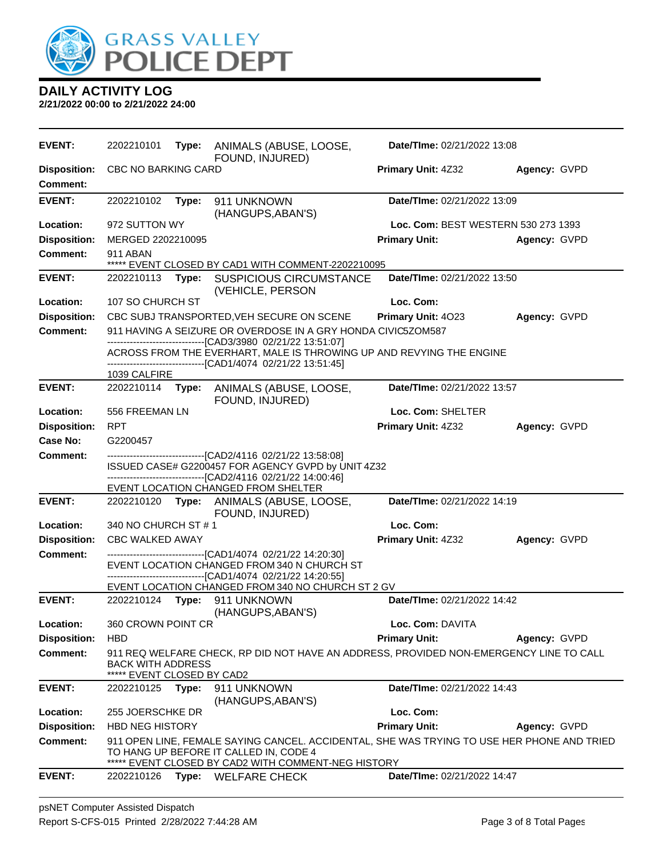

| <b>EVENT:</b>                          | 2202210101                                      | Type: | ANIMALS (ABUSE, LOOSE,<br>FOUND, INJURED)                                                                                                                                                             | Date/TIme: 02/21/2022 13:08         |              |
|----------------------------------------|-------------------------------------------------|-------|-------------------------------------------------------------------------------------------------------------------------------------------------------------------------------------------------------|-------------------------------------|--------------|
| <b>Disposition:</b><br><b>Comment:</b> | <b>CBC NO BARKING CARD</b>                      |       |                                                                                                                                                                                                       | Primary Unit: 4Z32                  | Agency: GVPD |
| <b>EVENT:</b>                          | 2202210102                                      | Type: | 911 UNKNOWN<br>(HANGUPS, ABAN'S)                                                                                                                                                                      | Date/TIme: 02/21/2022 13:09         |              |
| Location:                              | 972 SUTTON WY                                   |       |                                                                                                                                                                                                       | Loc. Com: BEST WESTERN 530 273 1393 |              |
| <b>Disposition:</b>                    | MERGED 2202210095                               |       |                                                                                                                                                                                                       | <b>Primary Unit:</b>                | Agency: GVPD |
| <b>Comment:</b>                        | 911 ABAN                                        |       | ***** EVENT CLOSED BY CAD1 WITH COMMENT-2202210095                                                                                                                                                    |                                     |              |
| <b>EVENT:</b>                          | 2202210113                                      | Type: | <b>SUSPICIOUS CIRCUMSTANCE</b><br>(VEHICLE, PERSON                                                                                                                                                    | Date/TIme: 02/21/2022 13:50         |              |
| Location:                              | 107 SO CHURCH ST                                |       |                                                                                                                                                                                                       | Loc. Com:                           |              |
| <b>Disposition:</b>                    |                                                 |       | CBC SUBJ TRANSPORTED, VEH SECURE ON SCENE                                                                                                                                                             | Primary Unit: 4023                  | Agency: GVPD |
| <b>Comment:</b>                        |                                                 |       | 911 HAVING A SEIZURE OR OVERDOSE IN A GRY HONDA CIVIC5ZOM587                                                                                                                                          |                                     |              |
|                                        |                                                 |       | -------------------------------[CAD3/3980 02/21/22 13:51:07]<br>ACROSS FROM THE EVERHART, MALE IS THROWING UP AND REVYING THE ENGINE<br>--------------------------------[CAD1/4074 02/21/22 13:51:45] |                                     |              |
|                                        | 1039 CALFIRE                                    |       |                                                                                                                                                                                                       |                                     |              |
| <b>EVENT:</b>                          | 2202210114 Type:                                |       | ANIMALS (ABUSE, LOOSE,<br>FOUND, INJURED)                                                                                                                                                             | Date/TIme: 02/21/2022 13:57         |              |
| Location:                              | 556 FREEMAN LN                                  |       |                                                                                                                                                                                                       | Loc. Com: SHELTER                   |              |
| <b>Disposition:</b>                    | <b>RPT</b>                                      |       |                                                                                                                                                                                                       | Primary Unit: 4Z32                  | Agency: GVPD |
| Case No:                               | G2200457                                        |       |                                                                                                                                                                                                       |                                     |              |
| <b>Comment:</b>                        |                                                 |       | ---------------------------------[CAD2/4116_02/21/22_13:58:08]<br>ISSUED CASE# G2200457 FOR AGENCY GVPD by UNIT 4Z32                                                                                  |                                     |              |
|                                        |                                                 |       | -------------------------------[CAD2/4116 02/21/22 14:00:46]<br>EVENT LOCATION CHANGED FROM SHELTER                                                                                                   |                                     |              |
| <b>EVENT:</b>                          |                                                 |       | 2202210120 Type: ANIMALS (ABUSE, LOOSE,<br>FOUND, INJURED)                                                                                                                                            | Date/TIme: 02/21/2022 14:19         |              |
| Location:                              | 340 NO CHURCH ST # 1                            |       |                                                                                                                                                                                                       | Loc. Com:                           |              |
| <b>Disposition:</b>                    | <b>CBC WALKED AWAY</b>                          |       |                                                                                                                                                                                                       | Primary Unit: 4Z32                  | Agency: GVPD |
| <b>Comment:</b>                        |                                                 |       | EVENT LOCATION CHANGED FROM 340 N CHURCH ST<br>-------------------------------[CAD1/4074_02/21/22 14:20:55]                                                                                           |                                     |              |
| <b>EVENT:</b>                          |                                                 |       | EVENT LOCATION CHANGED FROM 340 NO CHURCH ST 2 GV                                                                                                                                                     | Date/TIme: 02/21/2022 14:42         |              |
|                                        |                                                 |       | 2202210124 Type: 911 UNKNOWN<br>(HANGUPS, ABAN'S)                                                                                                                                                     |                                     |              |
| Location:                              | 360 CROWN POINT CR                              |       |                                                                                                                                                                                                       | Loc. Com: DAVITA                    |              |
| <b>Disposition:</b>                    | <b>HBD</b>                                      |       |                                                                                                                                                                                                       | <b>Primary Unit:</b>                | Agency: GVPD |
| <b>Comment:</b>                        | BACK WITH ADDRESS<br>***** EVENT CLOSED BY CAD2 |       | 911 REQ WELFARE CHECK, RP DID NOT HAVE AN ADDRESS, PROVIDED NON-EMERGENCY LINE TO CALL                                                                                                                |                                     |              |
| <b>EVENT:</b>                          | 2202210125                                      | Type: | 911 UNKNOWN                                                                                                                                                                                           | Date/TIme: 02/21/2022 14:43         |              |
|                                        |                                                 |       | (HANGUPS, ABAN'S)                                                                                                                                                                                     |                                     |              |
| Location:                              | 255 JOERSCHKE DR                                |       |                                                                                                                                                                                                       | Loc. Com:                           |              |
| <b>Disposition:</b>                    | <b>HBD NEG HISTORY</b>                          |       |                                                                                                                                                                                                       | <b>Primary Unit:</b>                | Agency: GVPD |
| <b>Comment:</b>                        |                                                 |       | 911 OPEN LINE, FEMALE SAYING CANCEL. ACCIDENTAL, SHE WAS TRYING TO USE HER PHONE AND TRIED<br>TO HANG UP BEFORE IT CALLED IN, CODE 4<br>EVENT CLOSED BY CAD2 WITH COMMENT-NEG HISTORY                 |                                     |              |
| <b>EVENT:</b>                          | 2202210126                                      |       | Type: WELFARE CHECK                                                                                                                                                                                   | Date/TIme: 02/21/2022 14:47         |              |
|                                        |                                                 |       |                                                                                                                                                                                                       |                                     |              |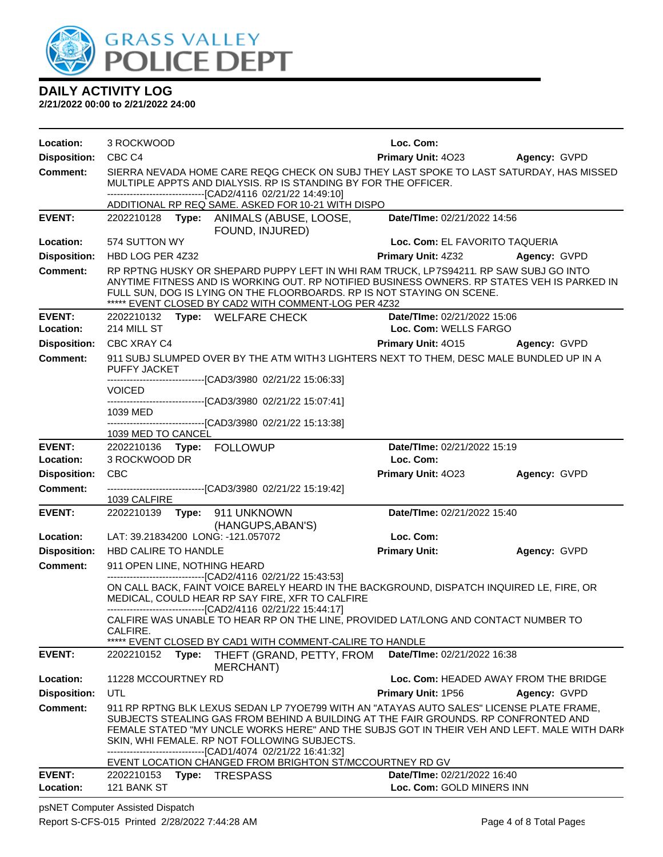

**2/21/2022 00:00 to 2/21/2022 24:00**

| Location:           | 3 ROCKWOOD                                                                                                                                                                                                                                                                                                             |                                                                                                                                                                                                                                                                                                                                                                                                                                                             | Loc. Com:                      |                                       |  |  |
|---------------------|------------------------------------------------------------------------------------------------------------------------------------------------------------------------------------------------------------------------------------------------------------------------------------------------------------------------|-------------------------------------------------------------------------------------------------------------------------------------------------------------------------------------------------------------------------------------------------------------------------------------------------------------------------------------------------------------------------------------------------------------------------------------------------------------|--------------------------------|---------------------------------------|--|--|
| <b>Disposition:</b> | CBC <sub>C4</sub>                                                                                                                                                                                                                                                                                                      |                                                                                                                                                                                                                                                                                                                                                                                                                                                             | <b>Primary Unit: 4023</b>      | <b>Agency: GVPD</b>                   |  |  |
| <b>Comment:</b>     | SIERRA NEVADA HOME CARE REQG CHECK ON SUBJ THEY LAST SPOKE TO LAST SATURDAY, HAS MISSED<br>MULTIPLE APPTS AND DIALYSIS. RP IS STANDING BY FOR THE OFFICER.<br>-------------------------------[CAD2/4116 02/21/22 14:49:10]                                                                                             |                                                                                                                                                                                                                                                                                                                                                                                                                                                             |                                |                                       |  |  |
|                     |                                                                                                                                                                                                                                                                                                                        | ADDITIONAL RP REQ SAME. ASKED FOR 10-21 WITH DISPO                                                                                                                                                                                                                                                                                                                                                                                                          |                                |                                       |  |  |
| <b>EVENT:</b>       |                                                                                                                                                                                                                                                                                                                        | 2202210128 Type: ANIMALS (ABUSE, LOOSE,<br>FOUND, INJURED)                                                                                                                                                                                                                                                                                                                                                                                                  | Date/TIme: 02/21/2022 14:56    |                                       |  |  |
| Location:           | 574 SUTTON WY                                                                                                                                                                                                                                                                                                          |                                                                                                                                                                                                                                                                                                                                                                                                                                                             | Loc. Com: EL FAVORITO TAQUERIA |                                       |  |  |
| <b>Disposition:</b> | HBD LOG PER 4Z32                                                                                                                                                                                                                                                                                                       |                                                                                                                                                                                                                                                                                                                                                                                                                                                             | Primary Unit: 4Z32             | Agency: GVPD                          |  |  |
| <b>Comment:</b>     | RP RPTNG HUSKY OR SHEPARD PUPPY LEFT IN WHI RAM TRUCK, LP7S94211. RP SAW SUBJ GO INTO<br>ANYTIME FITNESS AND IS WORKING OUT. RP NOTIFIED BUSINESS OWNERS. RP STATES VEH IS PARKED IN<br>FULL SUN, DOG IS LYING ON THE FLOORBOARDS. RP IS NOT STAYING ON SCENE.<br>***** EVENT CLOSED BY CAD2 WITH COMMENT-LOG PER 4Z32 |                                                                                                                                                                                                                                                                                                                                                                                                                                                             |                                |                                       |  |  |
| <b>EVENT:</b>       |                                                                                                                                                                                                                                                                                                                        | 2202210132 Type: WELFARE CHECK                                                                                                                                                                                                                                                                                                                                                                                                                              | Date/TIme: 02/21/2022 15:06    |                                       |  |  |
| Location:           | 214 MILL ST                                                                                                                                                                                                                                                                                                            |                                                                                                                                                                                                                                                                                                                                                                                                                                                             | Loc. Com: WELLS FARGO          |                                       |  |  |
| <b>Disposition:</b> | CBC XRAY C4                                                                                                                                                                                                                                                                                                            |                                                                                                                                                                                                                                                                                                                                                                                                                                                             | Primary Unit: 4015             | Agency: GVPD                          |  |  |
| <b>Comment:</b>     |                                                                                                                                                                                                                                                                                                                        | 911 SUBJ SLUMPED OVER BY THE ATM WITH3 LIGHTERS NEXT TO THEM, DESC MALE BUNDLED UP IN A                                                                                                                                                                                                                                                                                                                                                                     |                                |                                       |  |  |
|                     | <b>PUFFY JACKET</b>                                                                                                                                                                                                                                                                                                    |                                                                                                                                                                                                                                                                                                                                                                                                                                                             |                                |                                       |  |  |
|                     | <b>VOICED</b>                                                                                                                                                                                                                                                                                                          | -------------------------------[CAD3/3980 02/21/22 15:06:33]                                                                                                                                                                                                                                                                                                                                                                                                |                                |                                       |  |  |
|                     |                                                                                                                                                                                                                                                                                                                        | ------------------------------[CAD3/3980 02/21/22 15:07:41]                                                                                                                                                                                                                                                                                                                                                                                                 |                                |                                       |  |  |
|                     | 1039 MED                                                                                                                                                                                                                                                                                                               |                                                                                                                                                                                                                                                                                                                                                                                                                                                             |                                |                                       |  |  |
|                     | 1039 MED TO CANCEL                                                                                                                                                                                                                                                                                                     | ------------------------------[CAD3/3980 02/21/22 15:13:38]                                                                                                                                                                                                                                                                                                                                                                                                 |                                |                                       |  |  |
| <b>EVENT:</b>       | 2202210136 Type: FOLLOWUP                                                                                                                                                                                                                                                                                              |                                                                                                                                                                                                                                                                                                                                                                                                                                                             | Date/TIme: 02/21/2022 15:19    |                                       |  |  |
| Location:           | 3 ROCKWOOD DR                                                                                                                                                                                                                                                                                                          |                                                                                                                                                                                                                                                                                                                                                                                                                                                             | Loc. Com:                      |                                       |  |  |
| <b>Disposition:</b> | <b>CBC</b>                                                                                                                                                                                                                                                                                                             |                                                                                                                                                                                                                                                                                                                                                                                                                                                             | Primary Unit: 4023             | Agency: GVPD                          |  |  |
| <b>Comment:</b>     |                                                                                                                                                                                                                                                                                                                        | -------------------------------[CAD3/3980 02/21/22 15:19:42]                                                                                                                                                                                                                                                                                                                                                                                                |                                |                                       |  |  |
|                     | 1039 CALFIRE                                                                                                                                                                                                                                                                                                           |                                                                                                                                                                                                                                                                                                                                                                                                                                                             |                                |                                       |  |  |
| <b>EVENT:</b>       | 2202210139    Type: 911    UNKNOWN                                                                                                                                                                                                                                                                                     |                                                                                                                                                                                                                                                                                                                                                                                                                                                             | Date/TIme: 02/21/2022 15:40    |                                       |  |  |
|                     |                                                                                                                                                                                                                                                                                                                        | (HANGUPS, ABAN'S)                                                                                                                                                                                                                                                                                                                                                                                                                                           |                                |                                       |  |  |
| Location:           | LAT: 39.21834200 LONG: -121.057072                                                                                                                                                                                                                                                                                     |                                                                                                                                                                                                                                                                                                                                                                                                                                                             | Loc. Com:                      |                                       |  |  |
| <b>Disposition:</b> | HBD CALIRE TO HANDLE                                                                                                                                                                                                                                                                                                   |                                                                                                                                                                                                                                                                                                                                                                                                                                                             | <b>Primary Unit:</b>           | Agency: GVPD                          |  |  |
| <b>Comment:</b>     | 911 OPEN LINE, NOTHING HEARD                                                                                                                                                                                                                                                                                           | -------------------------------[CAD2/4116 02/21/22 15:43:53]                                                                                                                                                                                                                                                                                                                                                                                                |                                |                                       |  |  |
|                     | ON CALL BACK, FAINT VOICE BARELY HEARD IN THE BACKGROUND, DISPATCH INQUIRED LE, FIRE, OR<br>MEDICAL, COULD HEAR RP SAY FIRE, XFR TO CALFIRE<br>-------------------------------[CAD2/4116 02/21/22 15:44:17]                                                                                                            |                                                                                                                                                                                                                                                                                                                                                                                                                                                             |                                |                                       |  |  |
|                     | CALFIRE WAS UNABLE TO HEAR RP ON THE LINE, PROVIDED LAT/LONG AND CONTACT NUMBER TO                                                                                                                                                                                                                                     |                                                                                                                                                                                                                                                                                                                                                                                                                                                             |                                |                                       |  |  |
|                     | CALFIRE.                                                                                                                                                                                                                                                                                                               | ***** EVENT CLOSED BY CAD1 WITH COMMENT-CALIRE TO HANDLE                                                                                                                                                                                                                                                                                                                                                                                                    |                                |                                       |  |  |
| <b>EVENT:</b>       | 2202210152<br>Type:                                                                                                                                                                                                                                                                                                    | THEFT (GRAND, PETTY, FROM<br>MERCHANT)                                                                                                                                                                                                                                                                                                                                                                                                                      | Date/TIme: 02/21/2022 16:38    |                                       |  |  |
| Location:           | 11228 MCCOURTNEY RD                                                                                                                                                                                                                                                                                                    |                                                                                                                                                                                                                                                                                                                                                                                                                                                             |                                | Loc. Com: HEADED AWAY FROM THE BRIDGE |  |  |
| <b>Disposition:</b> | <b>UTL</b>                                                                                                                                                                                                                                                                                                             |                                                                                                                                                                                                                                                                                                                                                                                                                                                             | <b>Primary Unit: 1P56</b>      | Agency: GVPD                          |  |  |
| <b>Comment:</b>     |                                                                                                                                                                                                                                                                                                                        | 911 RP RPTNG BLK LEXUS SEDAN LP 7YOE799 WITH AN "ATAYAS AUTO SALES" LICENSE PLATE FRAME,<br>SUBJECTS STEALING GAS FROM BEHIND A BUILDING AT THE FAIR GROUNDS. RP CONFRONTED AND<br>FEMALE STATED "MY UNCLE WORKS HERE" AND THE SUBJS GOT IN THEIR VEH AND LEFT. MALE WITH DARK<br>SKIN, WHI FEMALE. RP NOT FOLLOWING SUBJECTS.<br>--------------------------------[CAD1/4074 02/21/22 16:41:32]<br>EVENT LOCATION CHANGED FROM BRIGHTON ST/MCCOURTNEY RD GV |                                |                                       |  |  |
| <b>EVENT:</b>       | 2202210153<br>Type:                                                                                                                                                                                                                                                                                                    | <b>TRESPASS</b>                                                                                                                                                                                                                                                                                                                                                                                                                                             | Date/TIme: 02/21/2022 16:40    |                                       |  |  |
| Location:           | 121 BANK ST                                                                                                                                                                                                                                                                                                            |                                                                                                                                                                                                                                                                                                                                                                                                                                                             | Loc. Com: GOLD MINERS INN      |                                       |  |  |

psNET Computer Assisted Dispatch Report S-CFS-015 Printed 2/28/2022 7:44:28 AM Page 4 of 8 Total Pages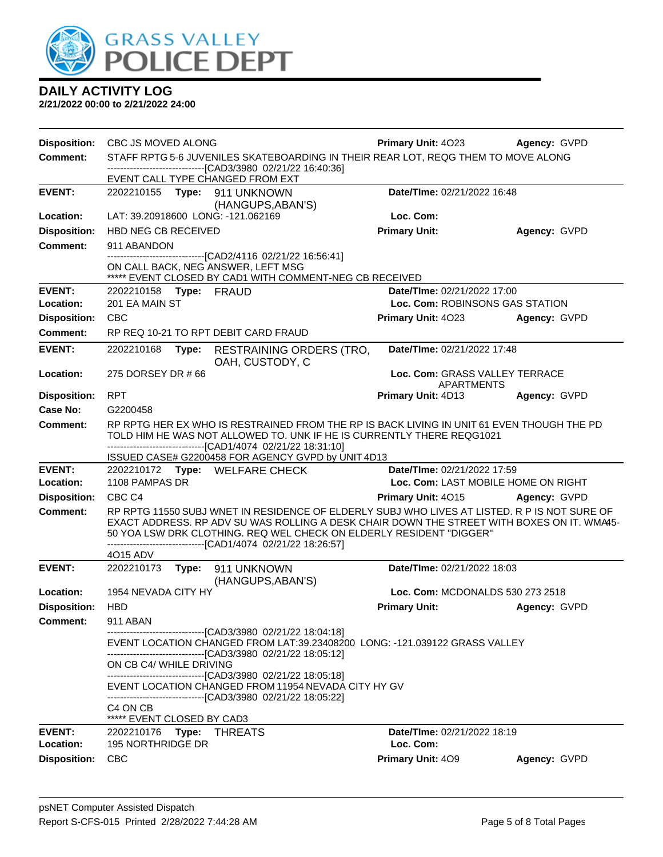

| <b>Disposition:</b>        | CBC JS MOVED ALONG                                                                                                  |                                                                                                                                                                                            | <b>Primary Unit: 4023</b>                                      | Agency: GVPD |  |  |
|----------------------------|---------------------------------------------------------------------------------------------------------------------|--------------------------------------------------------------------------------------------------------------------------------------------------------------------------------------------|----------------------------------------------------------------|--------------|--|--|
| <b>Comment:</b>            | STAFF RPTG 5-6 JUVENILES SKATEBOARDING IN THEIR REAR LOT, REQG THEM TO MOVE ALONG                                   |                                                                                                                                                                                            |                                                                |              |  |  |
|                            | ------------------------[CAD3/3980_02/21/22 16:40:36]                                                               |                                                                                                                                                                                            |                                                                |              |  |  |
|                            | EVENT CALL TYPE CHANGED FROM EXT                                                                                    |                                                                                                                                                                                            |                                                                |              |  |  |
| <b>EVENT:</b>              | 2202210155 Type:                                                                                                    | 911 UNKNOWN                                                                                                                                                                                | Date/TIme: 02/21/2022 16:48                                    |              |  |  |
| Location:                  | LAT: 39.20918600 LONG: -121.062169                                                                                  | (HANGUPS, ABAN'S)                                                                                                                                                                          | Loc. Com:                                                      |              |  |  |
| <b>Disposition:</b>        | <b>HBD NEG CB RECEIVED</b>                                                                                          |                                                                                                                                                                                            | <b>Primary Unit:</b>                                           | Agency: GVPD |  |  |
| Comment:                   | 911 ABANDON                                                                                                         |                                                                                                                                                                                            |                                                                |              |  |  |
|                            |                                                                                                                     | -------------------------------[CAD2/4116 02/21/22 16:56:41]                                                                                                                               |                                                                |              |  |  |
|                            | ON CALL BACK, NEG ANSWER, LEFT MSG                                                                                  |                                                                                                                                                                                            |                                                                |              |  |  |
|                            |                                                                                                                     | ***** EVENT CLOSED BY CAD1 WITH COMMENT-NEG CB RECEIVED                                                                                                                                    |                                                                |              |  |  |
| <b>EVENT:</b><br>Location: | 2202210158 Type: FRAUD<br>201 EA MAIN ST                                                                            |                                                                                                                                                                                            | Date/TIme: 02/21/2022 17:00<br>Loc. Com: ROBINSONS GAS STATION |              |  |  |
| <b>Disposition:</b>        | <b>CBC</b>                                                                                                          |                                                                                                                                                                                            | Primary Unit: 4023                                             |              |  |  |
| <b>Comment:</b>            | RP REQ 10-21 TO RPT DEBIT CARD FRAUD                                                                                |                                                                                                                                                                                            |                                                                | Agency: GVPD |  |  |
|                            |                                                                                                                     |                                                                                                                                                                                            |                                                                |              |  |  |
| <b>EVENT:</b>              | 2202210168<br>Type:                                                                                                 | <b>RESTRAINING ORDERS (TRO,</b><br>OAH, CUSTODY, C                                                                                                                                         | Date/TIme: 02/21/2022 17:48                                    |              |  |  |
| Location:                  | 275 DORSEY DR # 66                                                                                                  |                                                                                                                                                                                            | Loc. Com: GRASS VALLEY TERRACE                                 |              |  |  |
|                            |                                                                                                                     |                                                                                                                                                                                            | <b>APARTMENTS</b>                                              |              |  |  |
| <b>Disposition:</b>        | <b>RPT</b>                                                                                                          |                                                                                                                                                                                            | Primary Unit: 4D13                                             | Agency: GVPD |  |  |
| <b>Case No:</b>            | G2200458                                                                                                            |                                                                                                                                                                                            |                                                                |              |  |  |
| Comment:                   |                                                                                                                     | RP RPTG HER EX WHO IS RESTRAINED FROM THE RP IS BACK LIVING IN UNIT 61 EVEN THOUGH THE PD<br>TOLD HIM HE WAS NOT ALLOWED TO. UNK IF HE IS CURRENTLY THERE REQG1021                         |                                                                |              |  |  |
|                            |                                                                                                                     | -------------------------------[CAD1/4074_02/21/22 18:31:10]                                                                                                                               |                                                                |              |  |  |
|                            |                                                                                                                     | ISSUED CASE# G2200458 FOR AGENCY GVPD by UNIT 4D13                                                                                                                                         |                                                                |              |  |  |
| <b>EVENT:</b>              | 2202210172 Type: WELFARE CHECK                                                                                      |                                                                                                                                                                                            | Date/TIme: 02/21/2022 17:59                                    |              |  |  |
| Location:                  | 1108 PAMPAS DR                                                                                                      |                                                                                                                                                                                            | Loc. Com: LAST MOBILE HOME ON RIGHT                            |              |  |  |
| <b>Disposition:</b>        | CBC <sub>C4</sub>                                                                                                   |                                                                                                                                                                                            | Primary Unit: 4015                                             | Agency: GVPD |  |  |
| <b>Comment:</b>            |                                                                                                                     | RP RPTG 11550 SUBJ WNET IN RESIDENCE OF ELDERLY SUBJ WHO LIVES AT LISTED. R P IS NOT SURE OF<br>EXACT ADDRESS. RP ADV SU WAS ROLLING A DESK CHAIR DOWN THE STREET WITH BOXES ON IT. WMA45- |                                                                |              |  |  |
|                            |                                                                                                                     | 50 YOA LSW DRK CLOTHING. REQ WEL CHECK ON ELDERLY RESIDENT "DIGGER"                                                                                                                        |                                                                |              |  |  |
|                            |                                                                                                                     | -------------------------------[CAD1/4074_02/21/22 18:26:57]                                                                                                                               |                                                                |              |  |  |
|                            | 4015 ADV                                                                                                            |                                                                                                                                                                                            |                                                                |              |  |  |
| <b>EVENT:</b>              | 2202210173                                                                                                          | Type: 911 UNKNOWN<br>(HANGUPS, ABAN'S)                                                                                                                                                     | Date/TIme: 02/21/2022 18:03                                    |              |  |  |
| Location:                  | 1954 NEVADA CITY HY                                                                                                 |                                                                                                                                                                                            | Loc. Com: MCDONALDS 530 273 2518                               |              |  |  |
| <b>Disposition:</b>        | <b>HBD</b>                                                                                                          |                                                                                                                                                                                            | <b>Primary Unit:</b>                                           | Agency: GVPD |  |  |
| <b>Comment:</b>            | 911 ABAN                                                                                                            |                                                                                                                                                                                            |                                                                |              |  |  |
|                            |                                                                                                                     | ----------------------------[CAD3/3980_02/21/22 18:04:18]                                                                                                                                  |                                                                |              |  |  |
|                            |                                                                                                                     | EVENT LOCATION CHANGED FROM LAT:39.23408200 LONG: -121.039122 GRASS VALLEY<br>--------------------------------[CAD3/3980 02/21/22 18:05:12]                                                |                                                                |              |  |  |
|                            | ON CB C4/ WHILE DRIVING                                                                                             |                                                                                                                                                                                            |                                                                |              |  |  |
|                            | -------------------------------[CAD3/3980_02/21/22 18:05:18]<br>EVENT LOCATION CHANGED FROM 11954 NEVADA CITY HY GV |                                                                                                                                                                                            |                                                                |              |  |  |
|                            |                                                                                                                     | ---------------------------------[CAD3/3980 02/21/22 18:05:22]                                                                                                                             |                                                                |              |  |  |
|                            | C4 ON CB                                                                                                            |                                                                                                                                                                                            |                                                                |              |  |  |
|                            | ***** EVENT CLOSED BY CAD3                                                                                          |                                                                                                                                                                                            |                                                                |              |  |  |
| <b>EVENT:</b>              | 2202210176<br>Type:                                                                                                 | <b>THREATS</b>                                                                                                                                                                             | Date/TIme: 02/21/2022 18:19                                    |              |  |  |
| Location:                  | <b>195 NORTHRIDGE DR</b>                                                                                            |                                                                                                                                                                                            | Loc. Com:                                                      |              |  |  |
| <b>Disposition:</b>        | <b>CBC</b>                                                                                                          |                                                                                                                                                                                            | Primary Unit: 409                                              | Agency: GVPD |  |  |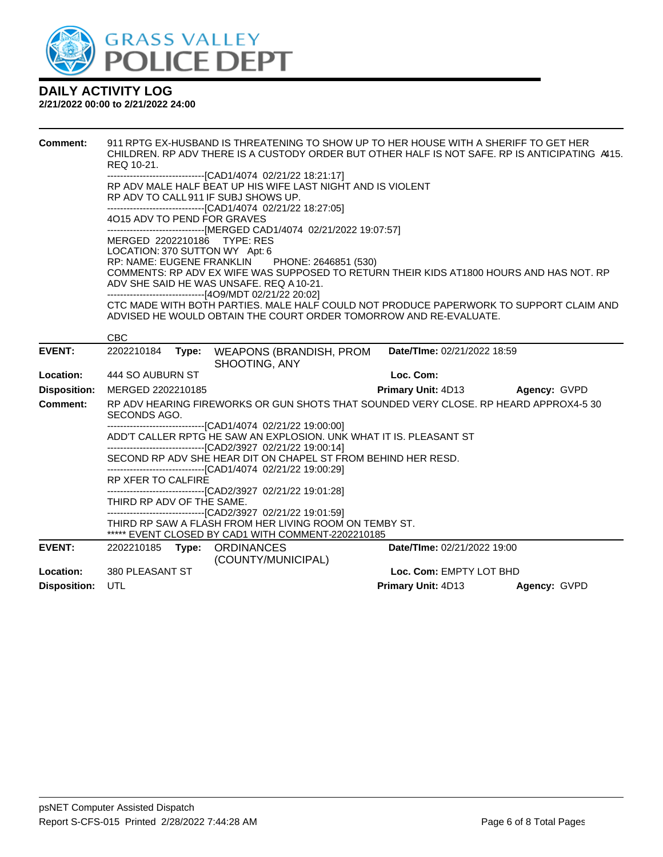

| <b>Comment:</b>     | 911 RPTG EX-HUSBAND IS THREATENING TO SHOW UP TO HER HOUSE WITH A SHERIFF TO GET HER<br>CHILDREN. RP ADV THERE IS A CUSTODY ORDER BUT OTHER HALF IS NOT SAFE. RP IS ANTICIPATING A415.<br>REQ 10-21.                                                                                                                              |       |                                                                                                                                                                                                                                                                       |  |                             |  |              |  |
|---------------------|-----------------------------------------------------------------------------------------------------------------------------------------------------------------------------------------------------------------------------------------------------------------------------------------------------------------------------------|-------|-----------------------------------------------------------------------------------------------------------------------------------------------------------------------------------------------------------------------------------------------------------------------|--|-----------------------------|--|--------------|--|
|                     | -------------------------------[CAD1/4074 02/21/22 18:21:17]<br>RP ADV MALE HALF BEAT UP HIS WIFE LAST NIGHT AND IS VIOLENT<br>RP ADV TO CALL 911 IF SUBJ SHOWS UP.<br>-------------------------------[CAD1/4074 02/21/22 18:27:05]<br>4015 ADV TO PEND FOR GRAVES                                                                |       |                                                                                                                                                                                                                                                                       |  |                             |  |              |  |
|                     | -------------------------------[MERGED CAD1/4074 02/21/2022 19:07:57]<br>MERGED 2202210186 TYPE: RES<br>LOCATION: 370 SUTTON WY Apt: 6<br>RP: NAME: EUGENE FRANKLIN<br>PHONE: 2646851 (530)<br>COMMENTS: RP ADV EX WIFE WAS SUPPOSED TO RETURN THEIR KIDS AT1800 HOURS AND HAS NOT. RP<br>ADV SHE SAID HE WAS UNSAFE, REQ A10-21. |       |                                                                                                                                                                                                                                                                       |  |                             |  |              |  |
|                     | --------------------------------[4O9/MDT 02/21/22 20:02]<br>CTC MADE WITH BOTH PARTIES. MALE HALF COULD NOT PRODUCE PAPERWORK TO SUPPORT CLAIM AND<br>ADVISED HE WOULD OBTAIN THE COURT ORDER TOMORROW AND RE-EVALUATE.                                                                                                           |       |                                                                                                                                                                                                                                                                       |  |                             |  |              |  |
| <b>EVENT:</b>       | <b>CBC</b><br>2202210184                                                                                                                                                                                                                                                                                                          | Type: | <b>WEAPONS (BRANDISH, PROM</b><br>SHOOTING, ANY                                                                                                                                                                                                                       |  | Date/TIme: 02/21/2022 18:59 |  |              |  |
| Location:           | 444 SO AUBURN ST                                                                                                                                                                                                                                                                                                                  |       |                                                                                                                                                                                                                                                                       |  | Loc. Com:                   |  |              |  |
| <b>Disposition:</b> | MERGED 2202210185                                                                                                                                                                                                                                                                                                                 |       |                                                                                                                                                                                                                                                                       |  | <b>Primary Unit: 4D13</b>   |  | Agency: GVPD |  |
| <b>Comment:</b>     | SECONDS AGO.                                                                                                                                                                                                                                                                                                                      |       | RP ADV HEARING FIREWORKS OR GUN SHOTS THAT SOUNDED VERY CLOSE. RP HEARD APPROX4-5 30                                                                                                                                                                                  |  |                             |  |              |  |
|                     | RP XFER TO CALFIRE                                                                                                                                                                                                                                                                                                                |       | ---------------------------------[CAD1/4074 02/21/22 19:00:00]<br>ADD'T CALLER RPTG HE SAW AN EXPLOSION. UNK WHAT IT IS. PLEASANT ST<br>SECOND RP ADV SHE HEAR DIT ON CHAPEL ST FROM BEHIND HER RESD.<br>-------------------------------[CAD1/4074 02/21/22 19:00:29] |  |                             |  |              |  |
|                     | THIRD RP ADV OF THE SAME.                                                                                                                                                                                                                                                                                                         |       | --------------------------------[CAD2/3927 02/21/22 19:01:28]<br>-------------------------------[CAD2/3927 02/21/22 19:01:59]<br>THIRD RP SAW A FLASH FROM HER LIVING ROOM ON TEMBY ST.<br>***** EVENT CLOSED BY CAD1 WITH COMMENT-2202210185                         |  |                             |  |              |  |
| <b>EVENT:</b>       |                                                                                                                                                                                                                                                                                                                                   |       | 2202210185 Type: ORDINANCES                                                                                                                                                                                                                                           |  | Date/TIme: 02/21/2022 19:00 |  |              |  |
| Location:           | 380 PLEASANT ST                                                                                                                                                                                                                                                                                                                   |       | (COUNTY/MUNICIPAL)                                                                                                                                                                                                                                                    |  | Loc. Com: EMPTY LOT BHD     |  |              |  |
| <b>Disposition:</b> | UTL                                                                                                                                                                                                                                                                                                                               |       |                                                                                                                                                                                                                                                                       |  | <b>Primary Unit: 4D13</b>   |  | Agency: GVPD |  |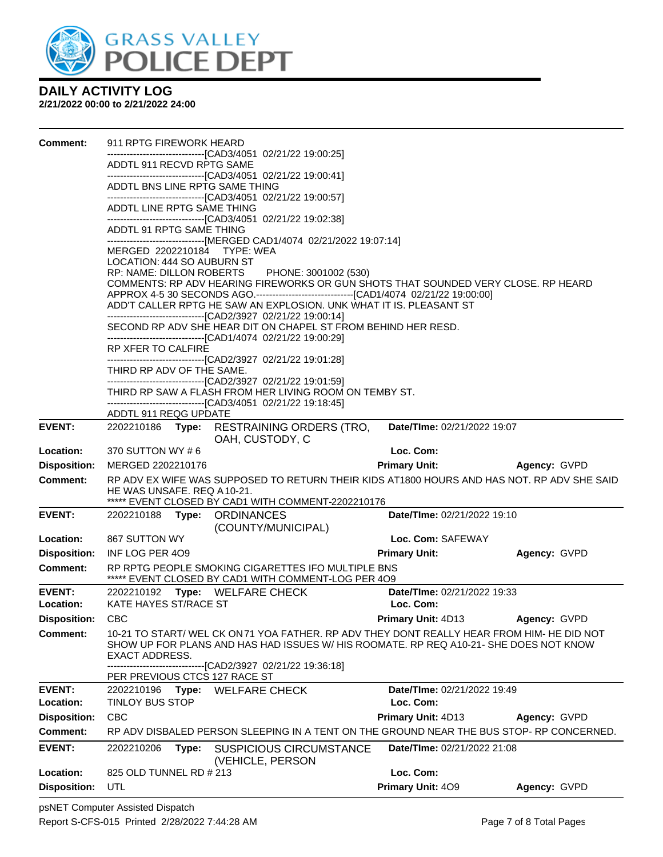

| Comment:                   | 911 RPTG FIREWORK HEARD              |       |                                                                                                                                                                                     |                                                 |              |
|----------------------------|--------------------------------------|-------|-------------------------------------------------------------------------------------------------------------------------------------------------------------------------------------|-------------------------------------------------|--------------|
|                            | ADDTL 911 RECVD RPTG SAME            |       | --------------------------[CAD3/4051_02/21/22 19:00:25]                                                                                                                             |                                                 |              |
|                            |                                      |       | -------------------------------[CAD3/4051 02/21/22 19:00:41]                                                                                                                        |                                                 |              |
|                            |                                      |       | ADDTL BNS LINE RPTG SAME THING<br>-------------------------------[CAD3/4051 02/21/22 19:00:57]                                                                                      |                                                 |              |
|                            | ADDTL LINE RPTG SAME THING           |       |                                                                                                                                                                                     |                                                 |              |
|                            | ADDTL 91 RPTG SAME THING             |       | -------------------------------[CAD3/4051 02/21/22 19:02:38]                                                                                                                        |                                                 |              |
|                            |                                      |       | ------------------------------[MERGED CAD1/4074 02/21/2022 19:07:14]<br>MERGED 2202210184 TYPE: WEA                                                                                 |                                                 |              |
|                            | LOCATION: 444 SO AUBURN ST           |       |                                                                                                                                                                                     |                                                 |              |
|                            |                                      |       | RP: NAME: DILLON ROBERTS PHONE: 3001002 (530)                                                                                                                                       |                                                 |              |
|                            |                                      |       | COMMENTS: RP ADV HEARING FIREWORKS OR GUN SHOTS THAT SOUNDED VERY CLOSE. RP HEARD<br>APPROX 4-5 30 SECONDS AGO.----------------------------------[CAD1/4074 02/21/22 19:00:00]      |                                                 |              |
|                            |                                      |       | ADD'T CALLER RPTG HE SAW AN EXPLOSION. UNK WHAT IT IS. PLEASANT ST                                                                                                                  |                                                 |              |
|                            |                                      |       | -------------------------------[CAD2/3927 02/21/22 19:00:14]                                                                                                                        |                                                 |              |
|                            |                                      |       | SECOND RP ADV SHE HEAR DIT ON CHAPEL ST FROM BEHIND HER RESD.<br>-------------------------------[CAD1/4074 02/21/22 19:00:29]                                                       |                                                 |              |
|                            | RP XFER TO CALFIRE                   |       |                                                                                                                                                                                     |                                                 |              |
|                            |                                      |       | ---------------------------------[CAD2/3927 02/21/22 19:01:28]                                                                                                                      |                                                 |              |
|                            | THIRD RP ADV OF THE SAME.            |       |                                                                                                                                                                                     |                                                 |              |
|                            |                                      |       | -------------------------------[CAD2/3927 02/21/22 19:01:59]<br>THIRD RP SAW A FLASH FROM HER LIVING ROOM ON TEMBY ST.                                                              |                                                 |              |
|                            |                                      |       | -------------------------------[CAD3/4051 02/21/22 19:18:45]                                                                                                                        |                                                 |              |
|                            | ADDTL 911 REQG UPDATE                |       |                                                                                                                                                                                     |                                                 |              |
| <b>EVENT:</b>              | 2202210186 Type:                     |       | <b>RESTRAINING ORDERS (TRO,</b><br>OAH, CUSTODY, C                                                                                                                                  | Date/TIme: 02/21/2022 19:07                     |              |
| Location:                  | 370 SUTTON WY #6                     |       |                                                                                                                                                                                     | Loc. Com:                                       |              |
| <b>Disposition:</b>        | MERGED 2202210176                    |       |                                                                                                                                                                                     | <b>Primary Unit:</b>                            | Agency: GVPD |
| Comment:                   | HE WAS UNSAFE. REQ A10-21.           |       | RP ADV EX WIFE WAS SUPPOSED TO RETURN THEIR KIDS AT1800 HOURS AND HAS NOT. RP ADV SHE SAID                                                                                          |                                                 |              |
| <b>EVENT:</b>              |                                      |       | ***** EVENT CLOSED BY CAD1 WITH COMMENT-2202210176                                                                                                                                  | Date/TIme: 02/21/2022 19:10                     |              |
|                            |                                      |       | 2202210188 Type: ORDINANCES<br>(COUNTY/MUNICIPAL)                                                                                                                                   |                                                 |              |
| Location:                  | 867 SUTTON WY                        |       |                                                                                                                                                                                     | Loc. Com: SAFEWAY                               |              |
| <b>Disposition:</b>        | INF LOG PER 409                      |       |                                                                                                                                                                                     | <b>Primary Unit:</b>                            | Agency: GVPD |
| <b>Comment:</b>            |                                      |       | RP RPTG PEOPLE SMOKING CIGARETTES IFO MULTIPLE BNS<br>***** EVENT CLOSED BY CAD1 WITH COMMENT-LOG PER 4O9                                                                           |                                                 |              |
| <b>EVENT:</b>              |                                      |       | 2202210192 Type: WELFARE CHECK                                                                                                                                                      | Date/TIme: 02/21/2022 19:33                     |              |
| Location:                  | KATE HAYES ST/RACE ST                |       |                                                                                                                                                                                     | Loc. Com:                                       |              |
| Disposition: CBC           |                                      |       |                                                                                                                                                                                     | <b>Primary Unit: 4D13</b>                       | Agency: GVPD |
| <b>Comment:</b>            | <b>EXACT ADDRESS.</b>                |       | 10-21 TO START/ WEL CK ON 71 YOA FATHER. RP ADV THEY DONT REALLY HEAR FROM HIM- HE DID NOT<br>SHOW UP FOR PLANS AND HAS HAD ISSUES W/ HIS ROOMATE. RP REQ A10-21- SHE DOES NOT KNOW |                                                 |              |
|                            |                                      |       | ------------------[CAD2/3927 02/21/22 19:36:18]                                                                                                                                     |                                                 |              |
|                            |                                      |       | PER PREVIOUS CTCS 127 RACE ST                                                                                                                                                       |                                                 |              |
| <b>EVENT:</b><br>Location: | 2202210196<br><b>TINLOY BUS STOP</b> | Type: | <b>WELFARE CHECK</b>                                                                                                                                                                | <b>Date/TIme: 02/21/2022 19:49</b><br>Loc. Com: |              |
| <b>Disposition:</b>        | <b>CBC</b>                           |       |                                                                                                                                                                                     | Primary Unit: 4D13                              |              |
| <b>Comment:</b>            |                                      |       |                                                                                                                                                                                     |                                                 | Agency: GVPD |
|                            |                                      |       | RP ADV DISBALED PERSON SLEEPING IN A TENT ON THE GROUND NEAR THE BUS STOP- RP CONCERNED.                                                                                            |                                                 |              |
| <b>EVENT:</b>              | 2202210206                           | Type: | <b>SUSPICIOUS CIRCUMSTANCE</b>                                                                                                                                                      | <b>Date/Time: 02/21/2022 21:08</b>              |              |
|                            |                                      |       | (VEHICLE, PERSON                                                                                                                                                                    |                                                 |              |
| Location:                  | 825 OLD TUNNEL RD # 213              |       |                                                                                                                                                                                     | Loc. Com:                                       |              |